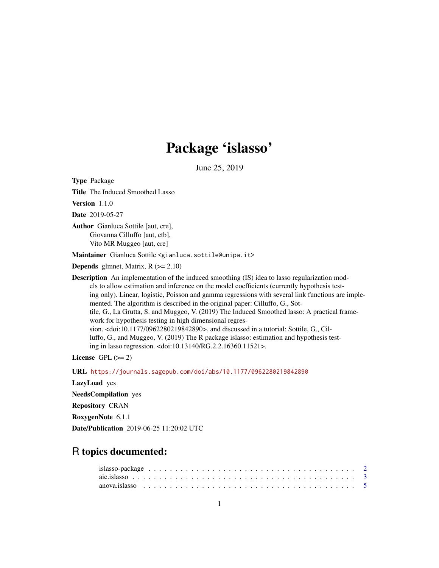# Package 'islasso'

June 25, 2019

<span id="page-0-0"></span>Type Package Title The Induced Smoothed Lasso Version 1.1.0 Date 2019-05-27 Author Gianluca Sottile [aut, cre], Giovanna Cilluffo [aut, ctb], Vito MR Muggeo [aut, cre] Maintainer Gianluca Sottile <gianluca.sottile@unipa.it> **Depends** glmnet, Matrix,  $R$  ( $>= 2.10$ ) **Description** An implementation of the induced smoothing (IS) idea to lasso regularization models to allow estimation and inference on the model coefficients (currently hypothesis testing only). Linear, logistic, Poisson and gamma regressions with several link functions are implemented. The algorithm is described in the original paper: Cilluffo, G., Sottile, G., La Grutta, S. and Muggeo, V. (2019) The Induced Smoothed lasso: A practical framework for hypothesis testing in high dimensional regression. <doi:10.1177/0962280219842890>, and discussed in a tutorial: Sottile, G., Cilluffo, G., and Muggeo, V. (2019) The R package islasso: estimation and hypothesis testing in lasso regression. <doi:10.13140/RG.2.2.16360.11521>. License GPL  $(>= 2)$ URL <https://journals.sagepub.com/doi/abs/10.1177/0962280219842890>

LazyLoad yes

NeedsCompilation yes

Repository CRAN

RoxygenNote 6.1.1

Date/Publication 2019-06-25 11:20:02 UTC

# R topics documented: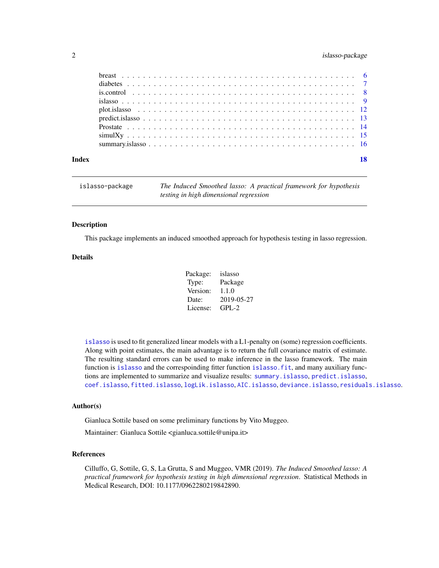# <span id="page-1-0"></span>2 islasso-package

| Index | 18 |  |
|-------|----|--|

| The Induced Smoothed lasso: A practical framework for hypothesis<br>islasso-package<br>testing in high dimensional regression |  |
|-------------------------------------------------------------------------------------------------------------------------------|--|
|-------------------------------------------------------------------------------------------------------------------------------|--|

### Description

This package implements an induced smoothed approach for hypothesis testing in lasso regression.

#### Details

| Package: | islasso    |
|----------|------------|
| Type:    | Package    |
| Version: | 1.1.0      |
| Date:    | 2019-05-27 |
| License: | $GPL-2$    |

[islasso](#page-8-1) is used to fit generalized linear models with a L1-penalty on (some) regression coefficients. Along with point estimates, the main advantage is to return the full covariance matrix of estimate. The resulting standard errors can be used to make inference in the lasso framework. The main function is [islasso](#page-8-1) and the correspoinding fitter function [islasso.fit](#page-8-2), and many auxiliary functions are implemented to summarize and visualize results: [summary.islasso](#page-15-1), [predict.islasso](#page-12-1), [coef.islasso](#page-8-2), [fitted.islasso](#page-8-2), [logLik.islasso](#page-8-2), [AIC.islasso](#page-8-2), [deviance.islasso](#page-8-2), [residuals.islasso](#page-8-2).

# Author(s)

Gianluca Sottile based on some preliminary functions by Vito Muggeo.

Maintainer: Gianluca Sottile <gianluca.sottile@unipa.it>

#### References

Cilluffo, G, Sottile, G, S, La Grutta, S and Muggeo, VMR (2019). *The Induced Smoothed lasso: A practical framework for hypothesis testing in high dimensional regression*. Statistical Methods in Medical Research, DOI: 10.1177/0962280219842890.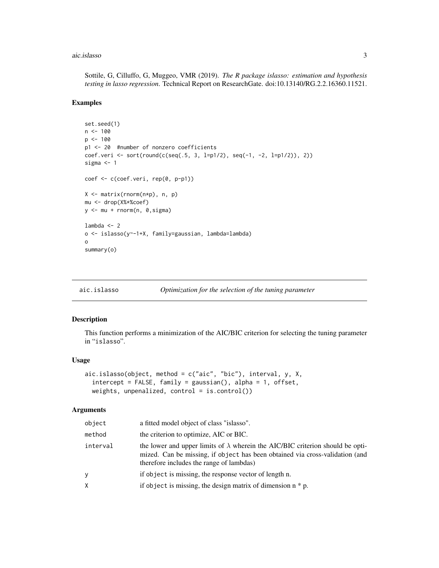#### <span id="page-2-0"></span>aic.islasso 3

Sottile, G, Cilluffo, G, Muggeo, VMR (2019). *The R package islasso: estimation and hypothesis testing in lasso regression*. Technical Report on ResearchGate. doi:10.13140/RG.2.2.16360.11521.

### Examples

```
set.seed(1)
n < - 100p \le -100p1 <- 20 #number of nonzero coefficients
coef.veri <- sort(round(c(seq(.5, 3, l=p1/2), seq(-1, -2, l=p1/2)), 2))
sigma <-1coef <- c(coef.veri, rep(0, p-p1))
X <- matrix(rnorm(n*p), n, p)
mu <- drop(X%*%coef)
y <- mu + rnorm(n, 0,sigma)
lambda <- 2
o <- islasso(y~-1+X, family=gaussian, lambda=lambda)
o
summary(o)
```

| Optimization for the selection of the tuning parameter<br>aic.islasso |
|-----------------------------------------------------------------------|
|-----------------------------------------------------------------------|

### Description

This function performs a minimization of the AIC/BIC criterion for selecting the tuning parameter in "islasso".

#### Usage

```
aic.islasso(object, method = c("aic", "bic"), interval, y, X,
 intercept = FALSE, family = gaussian(), alpha = 1, offset,
 weights, unpenalized, control = is.control())
```

| object   | a fitted model object of class "islasso".                                                                                                                                                                         |
|----------|-------------------------------------------------------------------------------------------------------------------------------------------------------------------------------------------------------------------|
| method   | the criterion to optimize, AIC or BIC.                                                                                                                                                                            |
| interval | the lower and upper limits of $\lambda$ wherein the AIC/BIC criterion should be opti-<br>mized. Can be missing, if object has been obtained via cross-validation (and<br>therefore includes the range of lambdas) |
| V        | if object is missing, the response vector of length n.                                                                                                                                                            |
| Χ        | if object is missing, the design matrix of dimension $n * p$ .                                                                                                                                                    |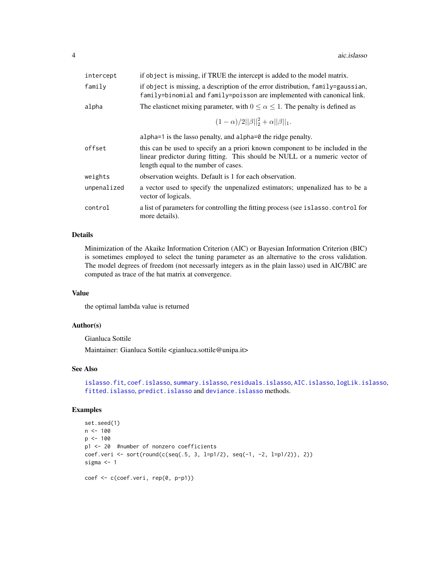<span id="page-3-0"></span>

| intercept   | if object is missing, if TRUE the intercept is added to the model matrix.                                                                                                                            |  |
|-------------|------------------------------------------------------------------------------------------------------------------------------------------------------------------------------------------------------|--|
| family      | if object is missing, a description of the error distribution, family=gaussian,<br>family=binomial and family=poisson are implemented with canonical link.                                           |  |
| alpha       | The elasticnet mixing parameter, with $0 \le \alpha \le 1$ . The penalty is defined as                                                                                                               |  |
|             | $(1-\alpha)/2  \beta  _2^2+\alpha  \beta  _1.$                                                                                                                                                       |  |
|             | alpha=1 is the lasso penalty, and alpha=0 the ridge penalty.                                                                                                                                         |  |
| offset      | this can be used to specify an a priori known component to be included in the<br>linear predictor during fitting. This should be NULL or a numeric vector of<br>length equal to the number of cases. |  |
| weights     | observation weights. Default is 1 for each observation.                                                                                                                                              |  |
| unpenalized | a vector used to specify the unpenalized estimators; unpenalized has to be a<br>vector of logicals.                                                                                                  |  |
| control     | a list of parameters for controlling the fitting process (see islasso.control for<br>more details).                                                                                                  |  |
|             |                                                                                                                                                                                                      |  |

#### Details

Minimization of the Akaike Information Criterion (AIC) or Bayesian Information Criterion (BIC) is sometimes employed to select the tuning parameter as an alternative to the cross validation. The model degrees of freedom (not necessarly integers as in the plain lasso) used in AIC/BIC are computed as trace of the hat matrix at convergence.

# Value

the optimal lambda value is returned

#### Author(s)

Gianluca Sottile

Maintainer: Gianluca Sottile <gianluca.sottile@unipa.it>

#### See Also

[islasso.fit](#page-8-2), [coef.islasso](#page-8-2), [summary.islasso](#page-15-1), [residuals.islasso](#page-8-2), [AIC.islasso](#page-8-2), [logLik.islasso](#page-8-2), [fitted.islasso](#page-8-2), [predict.islasso](#page-12-1) and [deviance.islasso](#page-8-2) methods.

# Examples

```
set.seed(1)
n < - 100p <- 100
p1 <- 20 #number of nonzero coefficients
coef.veri <- sort(round(c(seq(.5, 3, l=p1/2), seq(-1, -2, l=p1/2)), 2))
sigma <- 1
coef <- c(coef.veri, rep(0, p-p1))
```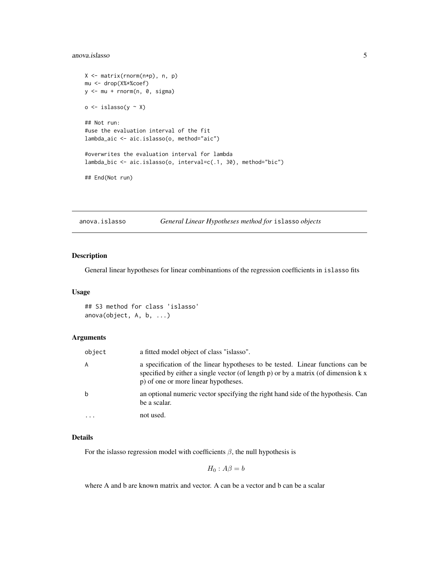#### <span id="page-4-0"></span>anova.islasso 5

```
X <- matrix(rnorm(n*p), n, p)
mu <- drop(X%*%coef)
y <- mu + rnorm(n, 0, sigma)
o \leftarrow islasso(y ~ X)
## Not run:
#use the evaluation interval of the fit
lambda_aic <- aic.islasso(o, method="aic")
#overwrites the evaluation interval for lambda
lambda_bic <- aic.islasso(o, interval=c(.1, 30), method="bic")
## End(Not run)
```
anova.islasso *General Linear Hypotheses method for* islasso *objects*

# Description

General linear hypotheses for linear combinantions of the regression coefficients in islasso fits

#### Usage

## S3 method for class 'islasso' anova(object, A, b, ...)

# Arguments

| object | a fitted model object of class "islasso".                                                                                                                                                                    |
|--------|--------------------------------------------------------------------------------------------------------------------------------------------------------------------------------------------------------------|
| A      | a specification of the linear hypotheses to be tested. Linear functions can be<br>specified by either a single vector (of length p) or by a matrix (of dimension k x<br>p) of one or more linear hypotheses. |
| b      | an optional numeric vector specifying the right hand side of the hypothesis. Can<br>be a scalar.                                                                                                             |
|        | not used.                                                                                                                                                                                                    |

#### Details

For the islasso regression model with coefficients  $\beta$ , the null hypothesis is

$$
H_0: A\beta = b
$$

where A and b are known matrix and vector. A can be a vector and b can be a scalar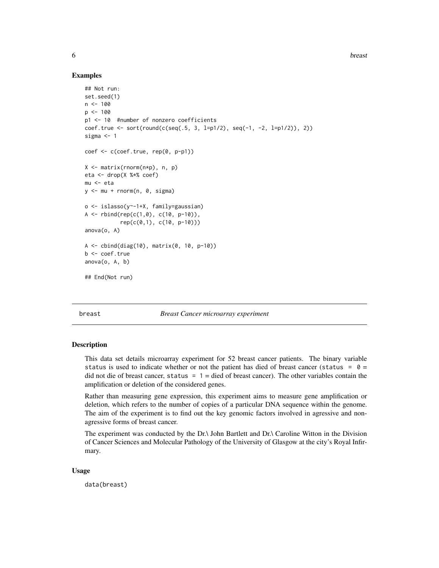**6** breast **breast breast breast breast breast** 

#### Examples

```
## Not run:
set.seed(1)
n < -100p \le -100p1 <- 10 #number of nonzero coefficients
coef.true <- sort(round(c(seq(.5, 3, l=p1/2), seq(-1, -2, l=p1/2)), 2))
sigma <-1coef <- c(coef.true, rep(0, p-p1))
X <- matrix(rnorm(n*p), n, p)
eta <- drop(X %*% coef)
mu <- eta
y \le -mu + rnorm(n, 0, sigma)o <- islasso(y~-1+X, family=gaussian)
A <- rbind(rep(c(1,0), c(10, p-10)),rep(c(0,1), c(10, p-10)))
anova(o, A)
A \le - \text{cbind}(diag(10), matrix(0, 10, p-10))b <- coef.true
anova(o, A, b)
## End(Not run)
```
breast *Breast Cancer microarray experiment*

#### Description

This data set details microarray experiment for 52 breast cancer patients. The binary variable status is used to indicate whether or not the patient has died of breast cancer (status =  $0 =$ did not die of breast cancer, status =  $1 =$  died of breast cancer). The other variables contain the amplification or deletion of the considered genes.

Rather than measuring gene expression, this experiment aims to measure gene amplification or deletion, which refers to the number of copies of a particular DNA sequence within the genome. The aim of the experiment is to find out the key genomic factors involved in agressive and nonagressive forms of breast cancer.

The experiment was conducted by the Dr.\ John Bartlett and Dr.\ Caroline Witton in the Division of Cancer Sciences and Molecular Pathology of the University of Glasgow at the city's Royal Infirmary.

#### Usage

data(breast)

<span id="page-5-0"></span>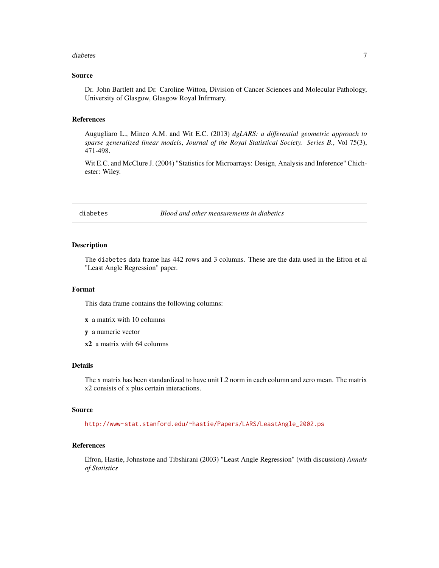#### <span id="page-6-0"></span>diabetes **7**

# Source

Dr. John Bartlett and Dr. Caroline Witton, Division of Cancer Sciences and Molecular Pathology, University of Glasgow, Glasgow Royal Infirmary.

### References

Augugliaro L., Mineo A.M. and Wit E.C. (2013) *dgLARS: a differential geometric approach to sparse generalized linear models*, *Journal of the Royal Statistical Society. Series B.*, Vol 75(3), 471-498.

Wit E.C. and McClure J. (2004) "Statistics for Microarrays: Design, Analysis and Inference" Chichester: Wiley.

diabetes *Blood and other measurements in diabetics*

### Description

The diabetes data frame has 442 rows and 3 columns. These are the data used in the Efron et al "Least Angle Regression" paper.

#### Format

This data frame contains the following columns:

- x a matrix with 10 columns
- y a numeric vector
- x2 a matrix with 64 columns

#### Details

The x matrix has been standardized to have unit L2 norm in each column and zero mean. The matrix x2 consists of x plus certain interactions.

### Source

[http://www-stat.stanford.edu/~hastie/Papers/LARS/LeastAngle\\_2002.ps](http://www-stat.stanford.edu/~hastie/Papers/LARS/LeastAngle_2002.ps)

# References

Efron, Hastie, Johnstone and Tibshirani (2003) "Least Angle Regression" (with discussion) *Annals of Statistics*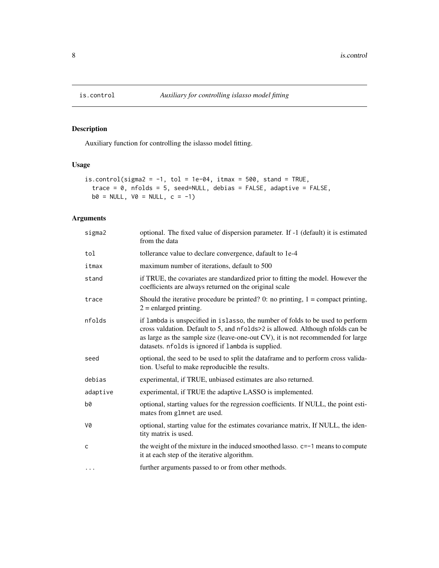<span id="page-7-0"></span>

# Description

Auxiliary function for controlling the islasso model fitting.

# Usage

```
is.control(sigma2 = -1, tol = 1e-04, itmax = 500, stand = TRUE,
 trace = 0, nfolds = 5, seed=NULL, debias = FALSE, adaptive = FALSE,
 b0 = NULL, V0 = NULL, c = -1)
```

| sigma2       | optional. The fixed value of dispersion parameter. If -1 (default) it is estimated<br>from the data                                                                                                                                                                                                       |
|--------------|-----------------------------------------------------------------------------------------------------------------------------------------------------------------------------------------------------------------------------------------------------------------------------------------------------------|
| tol          | tollerance value to declare convergence, dafault to 1e-4                                                                                                                                                                                                                                                  |
| itmax        | maximum number of iterations, default to 500                                                                                                                                                                                                                                                              |
| stand        | if TRUE, the covariates are standardized prior to fitting the model. However the<br>coefficients are always returned on the original scale                                                                                                                                                                |
| trace        | Should the iterative procedure be printed? 0: no printing, $1 =$ compact printing,<br>$2$ = enlarged printing.                                                                                                                                                                                            |
| nfolds       | if lambda is unspecified in islasso, the number of folds to be used to perform<br>cross valdation. Default to 5, and nfolds>2 is allowed. Although nfolds can be<br>as large as the sample size (leave-one-out CV), it is not recommended for large<br>datasets. nfolds is ignored if lambda is supplied. |
| seed         | optional, the seed to be used to split the dataframe and to perform cross valida-<br>tion. Useful to make reproducible the results.                                                                                                                                                                       |
| debias       | experimental, if TRUE, unbiased estimates are also returned.                                                                                                                                                                                                                                              |
| adaptive     | experimental, if TRUE the adaptive LASSO is implemented.                                                                                                                                                                                                                                                  |
| b0           | optional, starting values for the regression coefficients. If NULL, the point esti-<br>mates from glmnet are used.                                                                                                                                                                                        |
| V0           | optional, starting value for the estimates covariance matrix, If NULL, the iden-<br>tity matrix is used.                                                                                                                                                                                                  |
| $\mathsf{C}$ | the weight of the mixture in the induced smoothed lasso. c=-1 means to compute<br>it at each step of the iterative algorithm.                                                                                                                                                                             |
| $\cdot$      | further arguments passed to or from other methods.                                                                                                                                                                                                                                                        |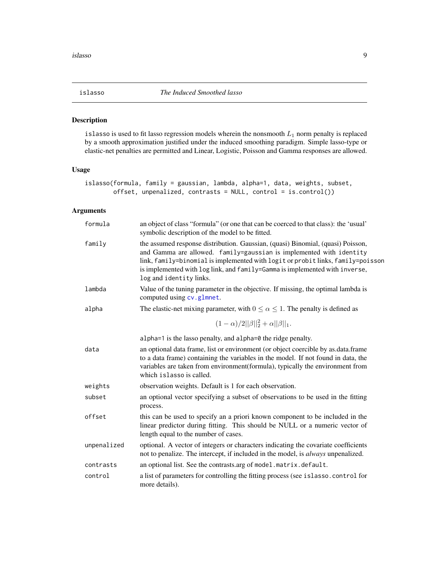<span id="page-8-1"></span><span id="page-8-0"></span>

#### <span id="page-8-2"></span>Description

islasso is used to fit lasso regression models wherein the nonsmooth  $L_1$  norm penalty is replaced by a smooth approximation justified under the induced smoothing paradigm. Simple lasso-type or elastic-net penalties are permitted and Linear, Logistic, Poisson and Gamma responses are allowed.

# Usage

```
islasso(formula, family = gaussian, lambda, alpha=1, data, weights, subset,
       offset, unpenalized, contrasts = NULL, control = is.control())
```

| formula     | an object of class "formula" (or one that can be coerced to that class): the 'usual'<br>symbolic description of the model to be fitted.                                                                                                                                                                                                             |
|-------------|-----------------------------------------------------------------------------------------------------------------------------------------------------------------------------------------------------------------------------------------------------------------------------------------------------------------------------------------------------|
| family      | the assumed response distribution. Gaussian, (quasi) Binomial, (quasi) Poisson,<br>and Gamma are allowed. family=gaussian is implemented with identity<br>link, family=binomial is implemented with logit or probit links, family=poisson<br>is implemented with log link, and family=Gamma is implemented with inverse,<br>log and identity links. |
| lambda      | Value of the tuning parameter in the objective. If missing, the optimal lambda is<br>computed using cv.glmnet.                                                                                                                                                                                                                                      |
| alpha       | The elastic-net mixing parameter, with $0 \le \alpha \le 1$ . The penalty is defined as                                                                                                                                                                                                                                                             |
|             | $(1-\alpha)/2  \beta  _2^2+\alpha  \beta  _1.$                                                                                                                                                                                                                                                                                                      |
|             | alpha=1 is the lasso penalty, and alpha=0 the ridge penalty.                                                                                                                                                                                                                                                                                        |
| data        | an optional data frame, list or environment (or object coercible by as data frame<br>to a data frame) containing the variables in the model. If not found in data, the<br>variables are taken from environment(formula), typically the environment from<br>which islasso is called.                                                                 |
| weights     | observation weights. Default is 1 for each observation.                                                                                                                                                                                                                                                                                             |
| subset      | an optional vector specifying a subset of observations to be used in the fitting<br>process.                                                                                                                                                                                                                                                        |
| offset      | this can be used to specify an a priori known component to be included in the<br>linear predictor during fitting. This should be NULL or a numeric vector of<br>length equal to the number of cases.                                                                                                                                                |
| unpenalized | optional. A vector of integers or characters indicating the covariate coefficients<br>not to penalize. The intercept, if included in the model, is <i>always</i> unpenalized.                                                                                                                                                                       |
| contrasts   | an optional list. See the contrasts.arg of model.matrix.default.                                                                                                                                                                                                                                                                                    |
| control     | a list of parameters for controlling the fitting process (see islasso.control for<br>more details).                                                                                                                                                                                                                                                 |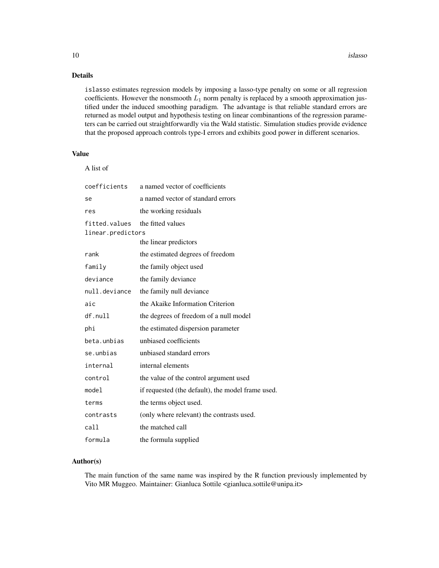# Details

islasso estimates regression models by imposing a lasso-type penalty on some or all regression coefficients. However the nonsmooth  $L_1$  norm penalty is replaced by a smooth approximation justified under the induced smoothing paradigm. The advantage is that reliable standard errors are returned as model output and hypothesis testing on linear combinantions of the regression parameters can be carried out straightforwardly via the Wald statistic. Simulation studies provide evidence that the proposed approach controls type-I errors and exhibits good power in different scenarios.

# Value

|  | 11 S T | νт<br>c |
|--|--------|---------|
|--|--------|---------|

| coefficients                       | a named vector of coefficients                    |
|------------------------------------|---------------------------------------------------|
| se                                 | a named vector of standard errors                 |
| res                                | the working residuals                             |
| fitted.values<br>linear.predictors | the fitted values                                 |
|                                    | the linear predictors                             |
| rank                               | the estimated degrees of freedom                  |
| family                             | the family object used                            |
| deviance                           | the family deviance                               |
| null.deviance                      | the family null deviance                          |
| aic                                | the Akaike Information Criterion                  |
| df.null                            | the degrees of freedom of a null model            |
| phi                                | the estimated dispersion parameter                |
| beta.unbias                        | unbiased coefficients                             |
| se.unbias                          | unbiased standard errors                          |
| internal                           | internal elements                                 |
| control                            | the value of the control argument used            |
| mode1                              | if requested (the default), the model frame used. |
| terms                              | the terms object used.                            |
| contrasts                          | (only where relevant) the contrasts used.         |
| call                               | the matched call                                  |
| formula                            | the formula supplied                              |

# Author(s)

The main function of the same name was inspired by the R function previously implemented by Vito MR Muggeo. Maintainer: Gianluca Sottile <gianluca.sottile@unipa.it>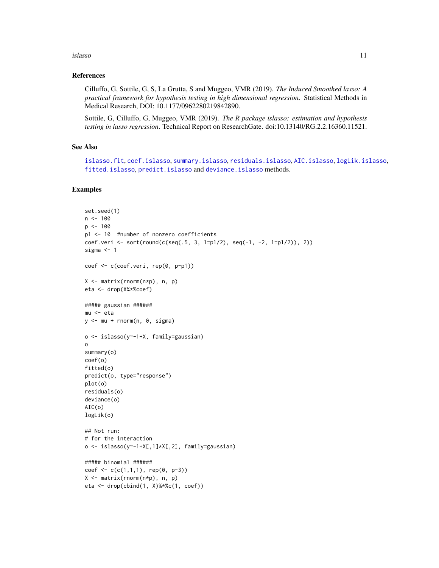#### <span id="page-10-0"></span>islasso 11

#### References

Cilluffo, G, Sottile, G, S, La Grutta, S and Muggeo, VMR (2019). *The Induced Smoothed lasso: A practical framework for hypothesis testing in high dimensional regression*. Statistical Methods in Medical Research, DOI: 10.1177/0962280219842890.

Sottile, G, Cilluffo, G, Muggeo, VMR (2019). *The R package islasso: estimation and hypothesis testing in lasso regression*. Technical Report on ResearchGate. doi:10.13140/RG.2.2.16360.11521.

#### See Also

```
islasso.fit, coef.islasso, summary.islasso, residuals.islasso, AIC.islasso, logLik.islasso,
fitted.islasso, predict.islasso and deviance.islasso methods.
```
# Examples

```
set.seed(1)
n < - 100p <- 100
p1 <- 10 #number of nonzero coefficients
coef.veri <- sort(round(c(seq(.5, 3, l=p1/2), seq(-1, -2, l=p1/2)), 2))
sigma <-1coef <- c(coef.veri, rep(0, p-p1))
X <- matrix(rnorm(n*p), n, p)
eta <- drop(X%*%coef)
##### gaussian ######
mu <- eta
y <- mu + rnorm(n, 0, sigma)
o <- islasso(y~-1+X, family=gaussian)
o
summary(o)
coef(o)
fitted(o)
predict(o, type="response")
plot(o)
residuals(o)
deviance(o)
AIC(o)
logLik(o)
## Not run:
# for the interaction
o <- islasso(y~-1+X[,1]*X[,2], family=gaussian)
##### binomial ######
coef <- c(c(1,1,1), rep(0, p-3))X <- matrix(rnorm(n*p), n, p)
eta <- drop(cbind(1, X)%*%c(1, coef))
```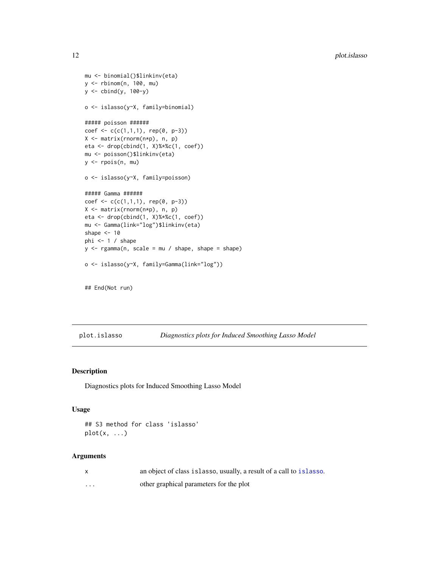```
mu <- binomial()$linkinv(eta)
y <- rbinom(n, 100, mu)
y <- cbind(y, 100-y)
o <- islasso(y~X, family=binomial)
##### poisson ######
coef <- c(c(1,1,1), rep(0, p-3))X <- matrix(rnorm(n*p), n, p)
eta <- drop(cbind(1, X)%*%c(1, coef))
mu <- poisson()$linkinv(eta)
y <- rpois(n, mu)
o <- islasso(y~X, family=poisson)
##### Gamma ######
coef <- c(c(1,1,1), rep(0, p-3))
X <- matrix(rnorm(n*p), n, p)
eta <- drop(cbind(1, X)%*%c(1, coef))
mu <- Gamma(link="log")$linkinv(eta)
shape <-10phi <-1 / shape
y \leq - \text{rgamma}(n, \text{ scale} = mu / \text{ shape}, \text{ shape} = \text{shape})o <- islasso(y~X, family=Gamma(link="log"))
```
## End(Not run)

plot.islasso *Diagnostics plots for Induced Smoothing Lasso Model*

# Description

Diagnostics plots for Induced Smoothing Lasso Model

#### Usage

```
## S3 method for class 'islasso'
plot(x, \ldots)
```

|   | an object of class is lasso, usually, a result of a call to is lasso. |
|---|-----------------------------------------------------------------------|
| . | other graphical parameters for the plot                               |

<span id="page-11-0"></span>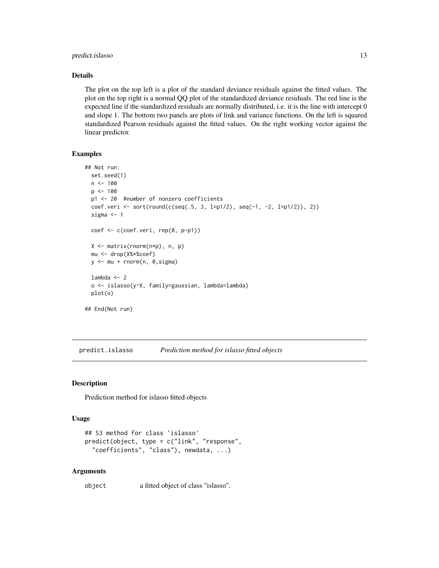# <span id="page-12-0"></span>predict.islasso 13

#### Details

The plot on the top left is a plot of the standard deviance residuals against the fitted values. The plot on the top right is a normal QQ plot of the standardized deviance residuals. The red line is the expected line if the standardized residuals are normally distributed, i.e. it is the line with intercept 0 and slope 1. The bottom two panels are plots of link and variance functions. On the left is squared standardized Pearson residuals against the fitted values. On the right working vector against the linear predictor.

# Examples

```
## Not run:
  set.seed(1)
  n < -100p <- 100
  p1 <- 20 #number of nonzero coefficients
  coef.veri <- sort(round(c(seq(.5, 3, l=p1/2), seq(-1, -2, l=p1/2)), 2))
  sigma <-1coef <- c(coef.veri, rep(0, p-p1))
  X <- matrix(rnorm(n*p), n, p)
  mu <- drop(X%*%coef)
  y <- mu + rnorm(n, 0,sigma)
  lambda < - 2o <- islasso(y~X, family=gaussian, lambda=lambda)
  plot(o)
## End(Not run)
```
<span id="page-12-1"></span>predict.islasso *Prediction method for islasso fitted objects*

# Description

Prediction method for islasso fitted objects

#### Usage

```
## S3 method for class 'islasso'
predict(object, type = c("link", "response",
  "coefficients", "class"), newdata, ...)
```
#### Arguments

object a fitted object of class "islasso".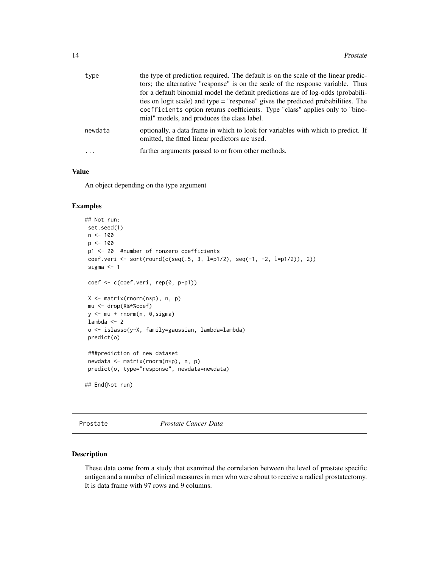<span id="page-13-0"></span>

| type     | the type of prediction required. The default is on the scale of the linear predic-                                                   |
|----------|--------------------------------------------------------------------------------------------------------------------------------------|
|          | tors; the alternative "response" is on the scale of the response variable. Thus                                                      |
|          | for a default binomial model the default predictions are of log-odds (probabili-                                                     |
|          | ties on logit scale) and type = "response" gives the predicted probabilities. The                                                    |
|          | coefficients option returns coefficients. Type "class" applies only to "bino-                                                        |
|          | mial" models, and produces the class label.                                                                                          |
| newdata  | optionally, a data frame in which to look for variables with which to predict. If<br>omitted, the fitted linear predictors are used. |
| $\ddots$ | further arguments passed to or from other methods.                                                                                   |
|          |                                                                                                                                      |

# Value

An object depending on the type argument

# Examples

```
## Not run:
set.seed(1)
n < -100p <- 100
p1 <- 20 #number of nonzero coefficients
coef.veri <- sort(round(c(seq(.5, 3, l=p1/2), seq(-1, -2, l=p1/2)), 2))
sigma <-1coef <- c(coef.veri, rep(0, p-p1))
X <- matrix(rnorm(n*p), n, p)
mu <- drop(X%*%coef)
y <- mu + rnorm(n, 0,sigma)
lambda < - 2o <- islasso(y~X, family=gaussian, lambda=lambda)
predict(o)
###prediction of new dataset
newdata <- matrix(rnorm(n*p), n, p)
predict(o, type="response", newdata=newdata)
## End(Not run)
```
Prostate *Prostate Cancer Data*

### Description

These data come from a study that examined the correlation between the level of prostate specific antigen and a number of clinical measures in men who were about to receive a radical prostatectomy. It is data frame with 97 rows and 9 columns.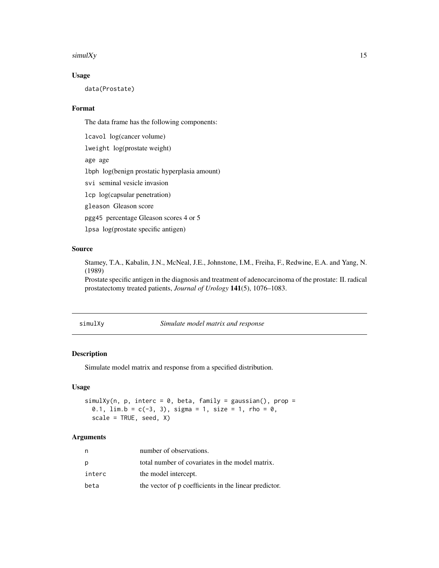#### <span id="page-14-0"></span> $\text{simulXy}$  15

# Usage

data(Prostate)

# Format

The data frame has the following components:

lcavol log(cancer volume) lweight log(prostate weight) age age lbph log(benign prostatic hyperplasia amount) svi seminal vesicle invasion lcp log(capsular penetration) gleason Gleason score pgg45 percentage Gleason scores 4 or 5 lpsa log(prostate specific antigen)

# Source

Stamey, T.A., Kabalin, J.N., McNeal, J.E., Johnstone, I.M., Freiha, F., Redwine, E.A. and Yang, N. (1989)

Prostate specific antigen in the diagnosis and treatment of adenocarcinoma of the prostate: II. radical prostatectomy treated patients, *Journal of Urology* 141(5), 1076–1083.

simulXy *Simulate model matrix and response*

#### Description

Simulate model matrix and response from a specified distribution.

# Usage

```
simulXy(n, p, interc = 0, beta, family = gaussian(), prop =
 0.1, \lim b = c(-3, 3), \lim a = 1, \lim c = 0,
 scale = TRUE, seed, X)
```

| n      | number of observations.                               |
|--------|-------------------------------------------------------|
| p      | total number of covariates in the model matrix.       |
| interc | the model intercept.                                  |
| beta   | the vector of p coefficients in the linear predictor. |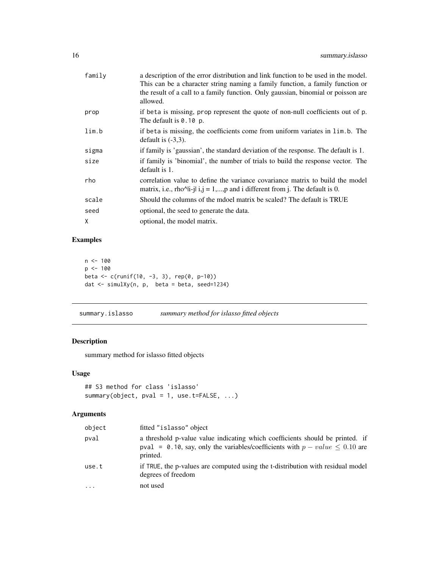<span id="page-15-0"></span>

| family | a description of the error distribution and link function to be used in the model.<br>This can be a character string naming a family function, a family function or<br>the result of a call to a family function. Only gaussian, binomial or poisson are<br>allowed. |
|--------|----------------------------------------------------------------------------------------------------------------------------------------------------------------------------------------------------------------------------------------------------------------------|
| prop   | if beta is missing, prop represent the quote of non-null coefficients out of p.<br>The default is $0.10$ p.                                                                                                                                                          |
| lim.b  | if beta is missing, the coefficients come from uniform variates in lim.b. The<br>default is $(-3,3)$ .                                                                                                                                                               |
| sigma  | if family is 'gaussian', the standard deviation of the response. The default is 1.                                                                                                                                                                                   |
| size   | if family is 'binomial', the number of trials to build the response vector. The<br>default is 1.                                                                                                                                                                     |
| rho    | correlation value to define the variance covariance matrix to build the model<br>matrix, i.e., rho^li-jl i,j = 1,,p and i different from j. The default is 0.                                                                                                        |
| scale  | Should the columns of the model matrix be scaled? The default is TRUE                                                                                                                                                                                                |
| seed   | optional, the seed to generate the data.                                                                                                                                                                                                                             |
| Χ      | optional, the model matrix.                                                                                                                                                                                                                                          |
|        |                                                                                                                                                                                                                                                                      |

# Examples

```
n <- 100
p <- 100
beta <- c(runif(10, -3, 3), rep(0, p-10))
dat <- simulXy(n, p, beta = beta, seed=1234)
```
<span id="page-15-1"></span>summary.islasso *summary method for islasso fitted objects*

# Description

summary method for islasso fitted objects

# Usage

```
## S3 method for class 'islasso'
summary(object, pval = 1, use.t=FALSE, ...)
```

| object | fitted "islasso" object                                                                                                                                                    |
|--------|----------------------------------------------------------------------------------------------------------------------------------------------------------------------------|
| pval   | a threshold p-value value indicating which coefficients should be printed. if<br>pval = 0.10, say, only the variables/coefficients with $p-value \le 0.10$ are<br>printed. |
| use.t  | if TRUE, the p-values are computed using the t-distribution with residual model<br>degrees of freedom                                                                      |
| .      | not used                                                                                                                                                                   |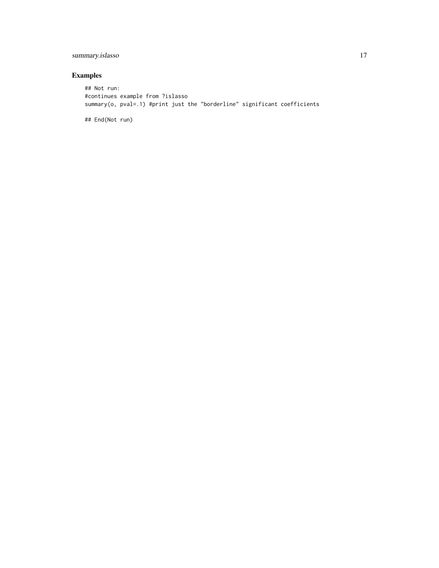# summary.islasso 17

# Examples

## Not run: #continues example from ?islasso summary(o, pval=.1) #print just the "borderline" significant coefficients

## End(Not run)